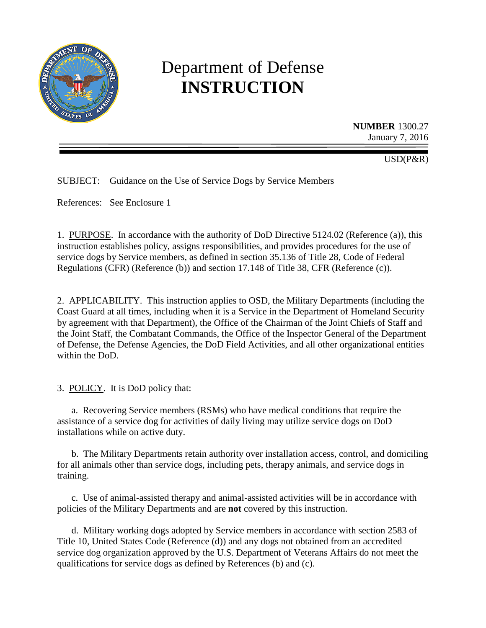

# Department of Defense **INSTRUCTION**

**NUMBER** 1300.27 January 7, 2016

USD(P&R)

SUBJECT: Guidance on the Use of Service Dogs by Service Members

References: See Enclosure 1

1. PURPOSE. In accordance with the authority of DoD Directive 5124.02 (Reference (a)), this instruction establishes policy, assigns responsibilities, and provides procedures for the use of service dogs by Service members, as defined in section 35.136 of Title 28, Code of Federal Regulations (CFR) (Reference (b)) and section 17.148 of Title 38, CFR (Reference (c)).

2. APPLICABILITY. This instruction applies to OSD, the Military Departments (including the Coast Guard at all times, including when it is a Service in the Department of Homeland Security by agreement with that Department), the Office of the Chairman of the Joint Chiefs of Staff and the Joint Staff, the Combatant Commands, the Office of the Inspector General of the Department of Defense, the Defense Agencies, the DoD Field Activities, and all other organizational entities within the DoD.

3. POLICY. It is DoD policy that:

a. Recovering Service members (RSMs) who have medical conditions that require the assistance of a service dog for activities of daily living may utilize service dogs on DoD installations while on active duty.

b. The Military Departments retain authority over installation access, control, and domiciling for all animals other than service dogs, including pets, therapy animals, and service dogs in training.

c. Use of animal-assisted therapy and animal-assisted activities will be in accordance with policies of the Military Departments and are **not** covered by this instruction.

d. Military working dogs adopted by Service members in accordance with section 2583 of Title 10, United States Code (Reference (d)) and any dogs not obtained from an accredited service dog organization approved by the U.S. Department of Veterans Affairs do not meet the qualifications for service dogs as defined by References (b) and (c).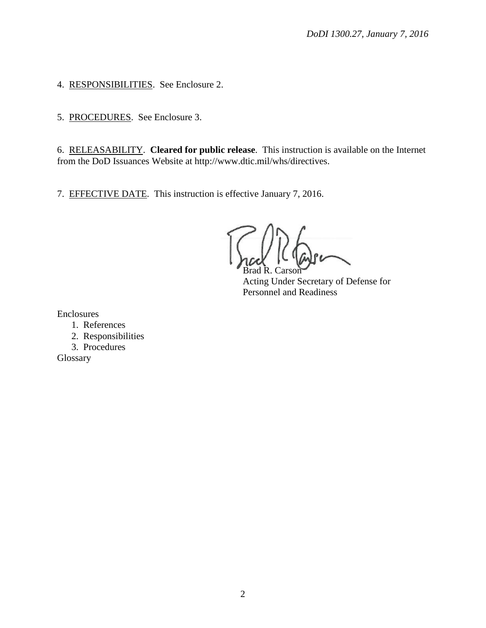4. RESPONSIBILITIES. See Enclosure 2.

5. PROCEDURES. See Enclosure 3.

6. RELEASABILITY. **Cleared for public release**. This instruction is available on the Internet from the DoD Issuances Website at http://www.dtic.mil/whs/directives.

7. EFFECTIVE DATE. This instruction is effective January 7, 2016.

 $C$ arson

Acting Under Secretary of Defense for Personnel and Readiness

Enclosures

- 1. References
- 2. Responsibilities
- 3. Procedures

Glossary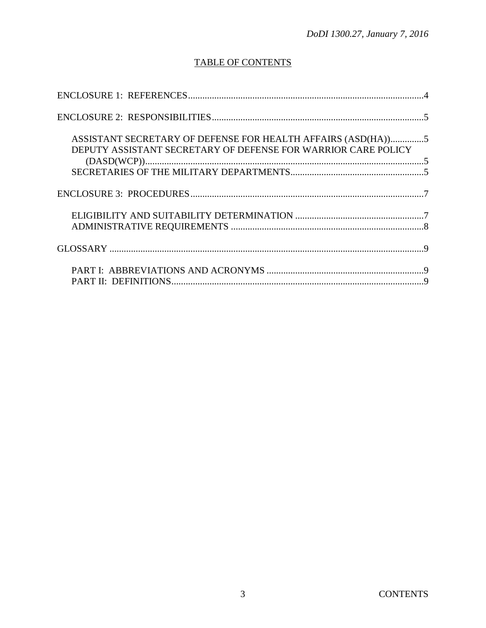## **TABLE OF CONTENTS**

| ASSISTANT SECRETARY OF DEFENSE FOR HEALTH AFFAIRS (ASD(HA))5<br>DEPUTY ASSISTANT SECRETARY OF DEFENSE FOR WARRIOR CARE POLICY |  |
|-------------------------------------------------------------------------------------------------------------------------------|--|
|                                                                                                                               |  |
|                                                                                                                               |  |
|                                                                                                                               |  |
|                                                                                                                               |  |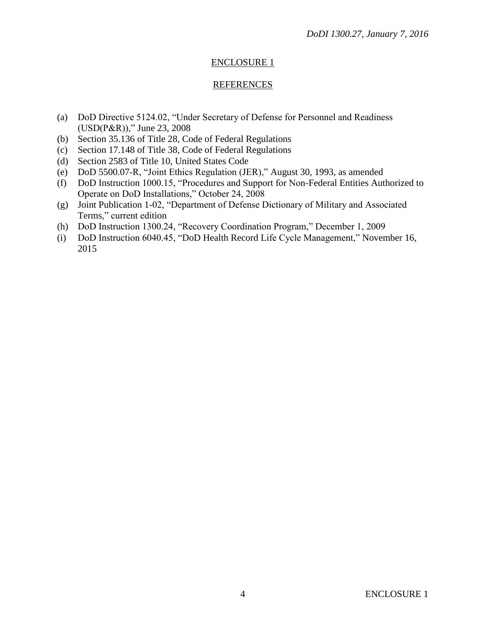## ENCLOSURE 1

#### REFERENCES

- (a) DoD Directive 5124.02, "Under Secretary of Defense for Personnel and Readiness (USD(P&R))," June 23, 2008
- (b) Section 35.136 of Title 28, Code of Federal Regulations
- (c) Section 17.148 of Title 38, Code of Federal Regulations
- (d) Section 2583 of Title 10, United States Code
- (e) DoD 5500.07-R, "Joint Ethics Regulation (JER)," August 30, 1993, as amended
- (f) DoD Instruction 1000.15, "Procedures and Support for Non-Federal Entities Authorized to Operate on DoD Installations," October 24, 2008
- (g) Joint Publication 1-02, "Department of Defense Dictionary of Military and Associated Terms," current edition
- (h) DoD Instruction 1300.24, "Recovery Coordination Program," December 1, 2009
- (i) DoD Instruction 6040.45, "DoD Health Record Life Cycle Management," November 16, 2015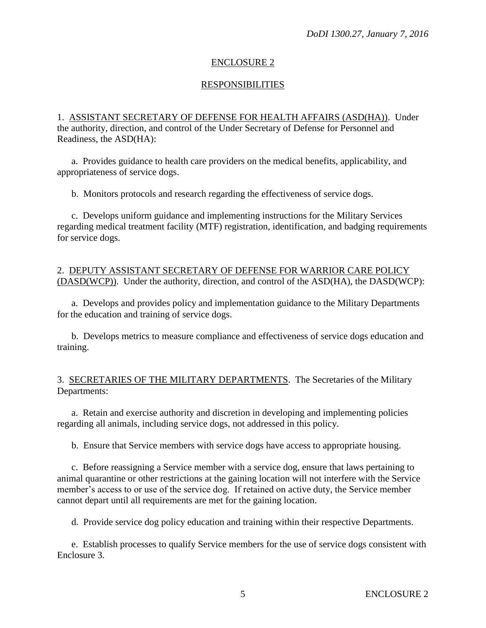## ENCLOSURE 2

## RESPONSIBILITIES

1. ASSISTANT SECRETARY OF DEFENSE FOR HEALTH AFFAIRS (ASD(HA)). Under the authority, direction, and control of the Under Secretary of Defense for Personnel and Readiness, the ASD(HA):

a. Provides guidance to health care providers on the medical benefits, applicability, and appropriateness of service dogs.

b. Monitors protocols and research regarding the effectiveness of service dogs.

c. Develops uniform guidance and implementing instructions for the Military Services regarding medical treatment facility (MTF) registration, identification, and badging requirements for service dogs.

#### 2. DEPUTY ASSISTANT SECRETARY OF DEFENSE FOR WARRIOR CARE POLICY (DASD(WCP)). Under the authority, direction, and control of the ASD(HA), the DASD(WCP):

a. Develops and provides policy and implementation guidance to the Military Departments for the education and training of service dogs.

b. Develops metrics to measure compliance and effectiveness of service dogs education and training.

#### 3. SECRETARIES OF THE MILITARY DEPARTMENTS. The Secretaries of the Military Departments:

a. Retain and exercise authority and discretion in developing and implementing policies regarding all animals, including service dogs, not addressed in this policy.

b. Ensure that Service members with service dogs have access to appropriate housing.

c. Before reassigning a Service member with a service dog, ensure that laws pertaining to animal quarantine or other restrictions at the gaining location will not interfere with the Service member's access to or use of the service dog. If retained on active duty, the Service member cannot depart until all requirements are met for the gaining location.

d. Provide service dog policy education and training within their respective Departments.

e. Establish processes to qualify Service members for the use of service dogs consistent with Enclosure 3.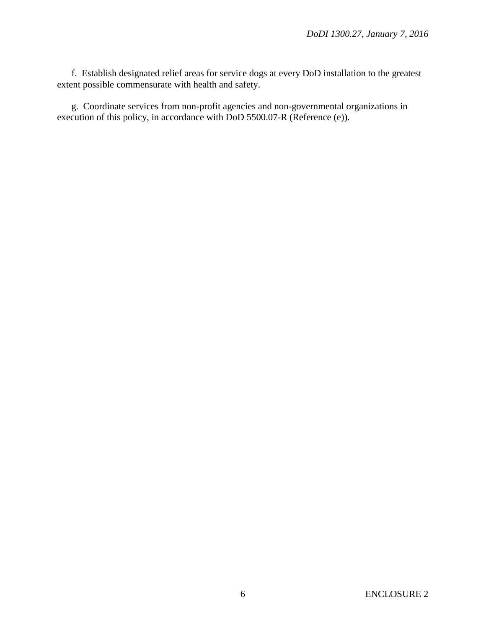f. Establish designated relief areas for service dogs at every DoD installation to the greatest extent possible commensurate with health and safety.

g. Coordinate services from non-profit agencies and non-governmental organizations in execution of this policy, in accordance with DoD 5500.07-R (Reference (e)).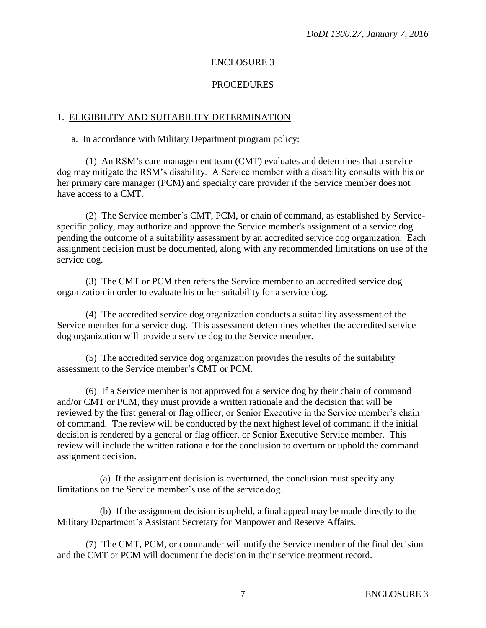## ENCLOSURE 3

## PROCEDURES

### 1. ELIGIBILITY AND SUITABILITY DETERMINATION

a. In accordance with Military Department program policy:

(1) An RSM's care management team (CMT) evaluates and determines that a service dog may mitigate the RSM's disability. A Service member with a disability consults with his or her primary care manager (PCM) and specialty care provider if the Service member does not have access to a CMT.

(2) The Service member's CMT, PCM, or chain of command, as established by Servicespecific policy, may authorize and approve the Service member's assignment of a service dog pending the outcome of a suitability assessment by an accredited service dog organization. Each assignment decision must be documented, along with any recommended limitations on use of the service dog.

(3) The CMT or PCM then refers the Service member to an accredited service dog organization in order to evaluate his or her suitability for a service dog.

(4) The accredited service dog organization conducts a suitability assessment of the Service member for a service dog. This assessment determines whether the accredited service dog organization will provide a service dog to the Service member.

(5) The accredited service dog organization provides the results of the suitability assessment to the Service member's CMT or PCM.

(6) If a Service member is not approved for a service dog by their chain of command and/or CMT or PCM, they must provide a written rationale and the decision that will be reviewed by the first general or flag officer, or Senior Executive in the Service member's chain of command. The review will be conducted by the next highest level of command if the initial decision is rendered by a general or flag officer, or Senior Executive Service member. This review will include the written rationale for the conclusion to overturn or uphold the command assignment decision.

(a) If the assignment decision is overturned, the conclusion must specify any limitations on the Service member's use of the service dog.

(b) If the assignment decision is upheld, a final appeal may be made directly to the Military Department's Assistant Secretary for Manpower and Reserve Affairs.

(7) The CMT, PCM, or commander will notify the Service member of the final decision and the CMT or PCM will document the decision in their service treatment record.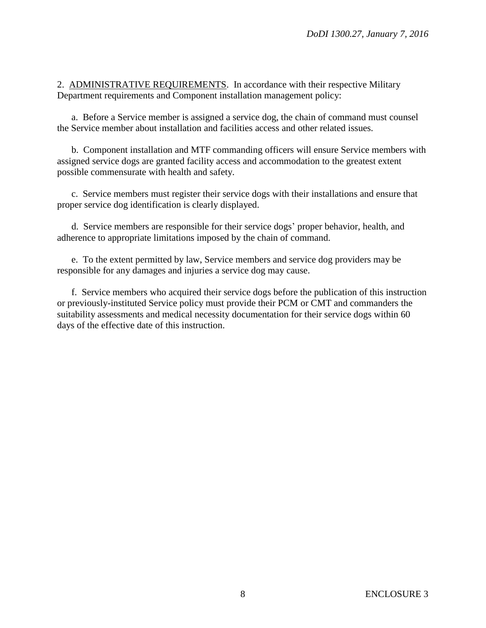2. ADMINISTRATIVE REQUIREMENTS. In accordance with their respective Military Department requirements and Component installation management policy:

a. Before a Service member is assigned a service dog, the chain of command must counsel the Service member about installation and facilities access and other related issues.

b. Component installation and MTF commanding officers will ensure Service members with assigned service dogs are granted facility access and accommodation to the greatest extent possible commensurate with health and safety.

c. Service members must register their service dogs with their installations and ensure that proper service dog identification is clearly displayed.

d. Service members are responsible for their service dogs' proper behavior, health, and adherence to appropriate limitations imposed by the chain of command.

e. To the extent permitted by law, Service members and service dog providers may be responsible for any damages and injuries a service dog may cause.

f. Service members who acquired their service dogs before the publication of this instruction or previously-instituted Service policy must provide their PCM or CMT and commanders the suitability assessments and medical necessity documentation for their service dogs within 60 days of the effective date of this instruction.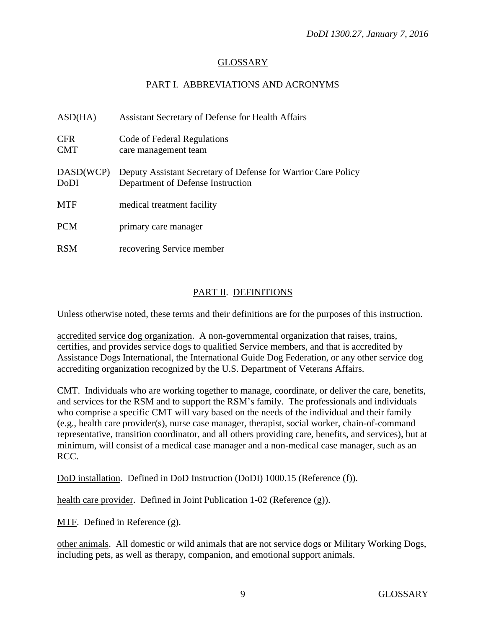## GLOSSARY

## PART I. ABBREVIATIONS AND ACRONYMS

| ASD(HA)                  | Assistant Secretary of Defense for Health Affairs                                                  |
|--------------------------|----------------------------------------------------------------------------------------------------|
| <b>CFR</b><br><b>CMT</b> | Code of Federal Regulations<br>care management team                                                |
| DASD(WCP)<br><b>DoDI</b> | Deputy Assistant Secretary of Defense for Warrior Care Policy<br>Department of Defense Instruction |
| <b>MTF</b>               | medical treatment facility                                                                         |
| <b>PCM</b>               | primary care manager                                                                               |
| <b>RSM</b>               | recovering Service member                                                                          |

## PART II. DEFINITIONS

Unless otherwise noted, these terms and their definitions are for the purposes of this instruction.

accredited service dog organization. A non-governmental organization that raises, trains, certifies, and provides service dogs to qualified Service members, and that is accredited by Assistance Dogs International, the International Guide Dog Federation, or any other service dog accrediting organization recognized by the U.S. Department of Veterans Affairs.

CMT. Individuals who are working together to manage, coordinate, or deliver the care, benefits, and services for the RSM and to support the RSM's family. The professionals and individuals who comprise a specific CMT will vary based on the needs of the individual and their family (e.g., health care provider(s), nurse case manager, therapist, social worker, chain-of-command representative, transition coordinator, and all others providing care, benefits, and services), but at minimum, will consist of a medical case manager and a non-medical case manager, such as an RCC.

DoD installation. Defined in DoD Instruction (DoDI) 1000.15 (Reference (f)).

health care provider. Defined in Joint Publication 1-02 (Reference (g)).

MTF. Defined in Reference (g).

other animals. All domestic or wild animals that are not service dogs or Military Working Dogs, including pets, as well as therapy, companion, and emotional support animals.